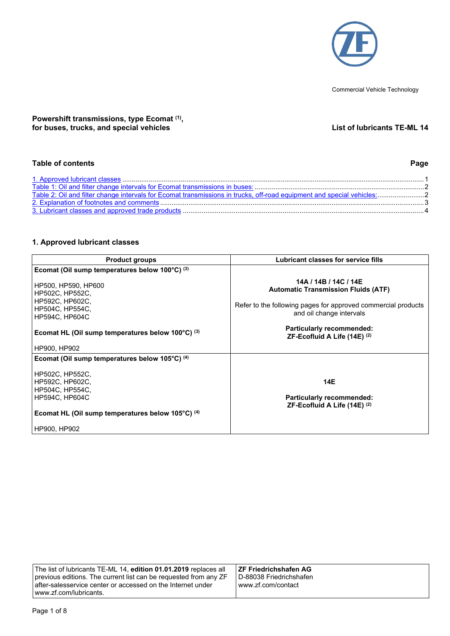

Commercial Vehicle Technology

## **Powershift transmissions, type Ecomat (1) , for buses, trucks, and special vehicles List of lubricants TE-ML 14**

# **Table of contents Page**

# <span id="page-0-0"></span>**1. Approved lubricant classes**

| <b>Product groups</b>                                                                                                               | Lubricant classes for service fills                                                                                                                              |  |
|-------------------------------------------------------------------------------------------------------------------------------------|------------------------------------------------------------------------------------------------------------------------------------------------------------------|--|
| Ecomat (Oil sump temperatures below 100°C) (3)                                                                                      |                                                                                                                                                                  |  |
| HP500, HP590, HP600<br>HP502C, HP552C,<br>HP592C, HP602C,<br>HP504C, HP554C,<br><b>HP594C, HP604C</b>                               | 14A / 14B / 14C / 14E<br><b>Automatic Transmission Fluids (ATF)</b><br>Refer to the following pages for approved commercial products<br>and oil change intervals |  |
| Ecomat HL (Oil sump temperatures below 100°C) (3)                                                                                   | <b>Particularly recommended:</b><br>ZF-Ecofluid A Life $(14E)^{(2)}$                                                                                             |  |
| HP900, HP902                                                                                                                        |                                                                                                                                                                  |  |
| Ecomat (Oil sump temperatures below 105°C) <sup>(4)</sup>                                                                           |                                                                                                                                                                  |  |
| HP502C, HP552C,<br>HP592C, HP602C,<br>HP504C, HP554C,<br><b>HP594C, HP604C</b><br>Ecomat HL (Oil sump temperatures below 105°C) (4) | 14E<br><b>Particularly recommended:</b><br>ZF-Ecofluid A Life $(14E)^{(2)}$                                                                                      |  |
| HP900, HP902                                                                                                                        |                                                                                                                                                                  |  |

| The list of lubricants TE-ML 14, edition 01.01.2019 replaces all | ∃ZF Friedrichshafen AG    |
|------------------------------------------------------------------|---------------------------|
| previous editions. The current list can be requested from any ZF | l D-88038 Friedrichshafen |
| after-salesservice center or accessed on the Internet under      | l www.zf.com/contact_     |
| www.zf.com/lubricants.                                           |                           |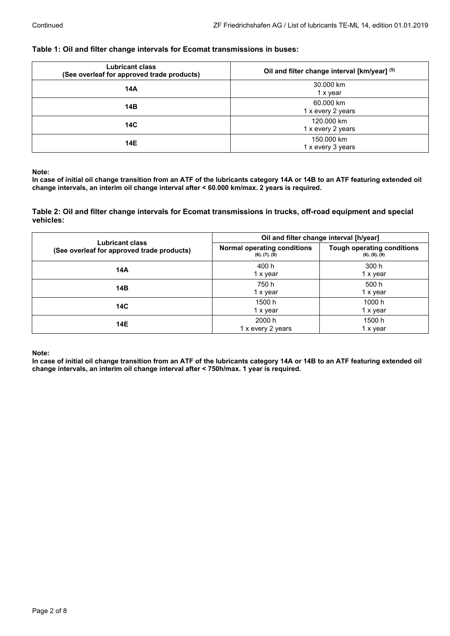## <span id="page-1-0"></span>**Table 1: Oil and filter change intervals for Ecomat transmissions in buses:**

| <b>Lubricant class</b><br>(See overleaf for approved trade products) | Oil and filter change interval [km/year] (5) |  |
|----------------------------------------------------------------------|----------------------------------------------|--|
| 14A                                                                  | 30,000 km<br>1 x year                        |  |
| 14B                                                                  | 60.000 km<br>1 x every 2 years               |  |
| 14C                                                                  | 120,000 km<br>1 x every 2 years              |  |
| 14E                                                                  | 150,000 km<br>1 x every 3 years              |  |

**Note:**

In case of initial oil change transition from an ATF of the lubricants category 14A or 14B to an ATF featuring extended oil **change intervals, an interim oil change interval after < 60.000 km/max. 2 years is required.**

<span id="page-1-1"></span>**Table 2: Oil and filter change intervals for Ecomat transmissions in trucks, off-road equipment and special vehicles:**

| Lubricant class<br>(See overleaf for approved trade products) | Oil and filter change interval [h/year]             |                                                    |
|---------------------------------------------------------------|-----------------------------------------------------|----------------------------------------------------|
|                                                               | <b>Normal operating conditions</b><br>(6), (7), (9) | <b>Tough operating conditions</b><br>(6), (8), (9) |
| 14A                                                           | 400 h<br>1 x year                                   | 300 h<br>1 x year                                  |
| 14B                                                           | 750 h<br>1 x year                                   | 500 h<br>1 x year                                  |
| 14C                                                           | 1500 h<br>1 x year                                  | 1000 h<br>1 x year                                 |
| 14E                                                           | 2000 h<br>1 x every 2 years                         | 1500 h<br>1 x year                                 |

**Note:**

In case of initial oil change transition from an ATF of the lubricants category 14A or 14B to an ATF featuring extended oil **change intervals, an interim oil change interval after < 750h/max. 1 year is required.**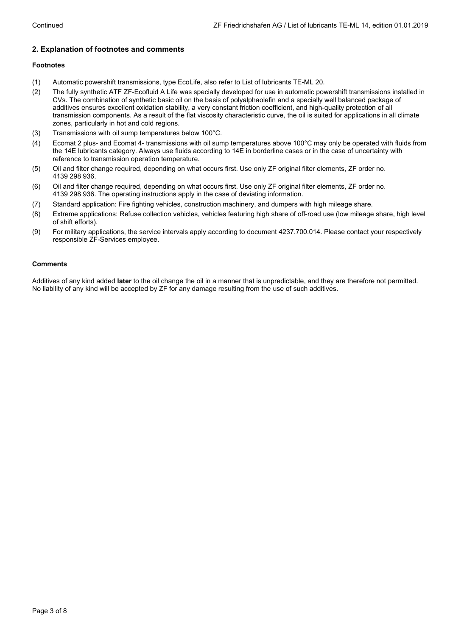# <span id="page-2-0"></span>**2. Explanation of footnotes and comments**

### **Footnotes**

- (1) Automatic powershift transmissions, type EcoLife, also refer to List of lubricants TE-ML 20.
- (2) The fully synthetic ATF ZF-Ecofluid A Life was specially developed for use in automatic powershift transmissions installed in CVs. The combination of synthetic basic oil on the basis of polyalphaolefin and a specially well balanced package of additives ensures excellent oxidation stability, a very constant friction coefficient, and high-quality protection of all transmission components. As a result of the flat viscosity characteristic curve, the oil is suited for applications in all climate zones, particularly in hot and cold regions.
- (3) Transmissions with oil sump temperatures below 100°C.
- (4) Ecomat 2 plus- and Ecomat 4- transmissions with oil sump temperatures above 100°C may only be operated with fluids from the 14E lubricants category. Always use fluids according to 14E in borderline cases or in the case of uncertainty with reference to transmission operation temperature.
- (5) Oil and filter change required, depending on what occurs first. Use only ZF original filter elements, ZF order no. 4139 298 936.
- (6) Oil and filter change required, depending on what occurs first. Use only ZF original filter elements, ZF order no. 4139 298 936. The operating instructions apply in the case of deviating information.
- (7) Standard application: Fire fighting vehicles, construction machinery, and dumpers with high mileage share.
- (8) Extreme applications: Refuse collection vehicles, vehicles featuring high share of off-road use (low mileage share, high level of shift efforts).
- (9) For military applications, the service intervals apply according to document 4237.700.014. Please contact your respectively responsible ZF-Services employee.

### **Comments**

Additives of any kind added **later** to the oil change the oil in a manner that is unpredictable, and they are therefore not permitted. No liability of any kind will be accepted by ZF for any damage resulting from the use of such additives.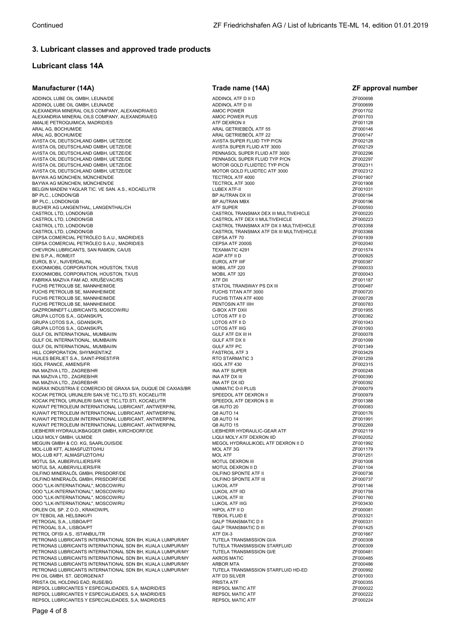# <span id="page-3-0"></span>**3. Lubricant classes and approved trade products**

# **Lubricant class 14A**

| Manufacturer (14A)                                                                                                     | Trade name (14A)                                                         | ZF approval number   |
|------------------------------------------------------------------------------------------------------------------------|--------------------------------------------------------------------------|----------------------|
| ADDINOL LUBE OIL GMBH, LEUNA/DE                                                                                        | ADDINOL ATF D II D                                                       | ZF000698             |
| ADDINOL LUBE OIL GMBH, LEUNA/DE                                                                                        | ADDINOL ATF D III                                                        | ZF000699             |
| ALEXANDRIA MINERAL OILS COMPANY, ALEXANDRIA/EG                                                                         | <b>AMOC POWER</b>                                                        | ZF001702             |
| ALEXANDRIA MINERAL OILS COMPANY, ALEXANDRIA/EG                                                                         | AMOC POWER PLUS                                                          | ZF001703             |
| AMALIE PETROQUIMICA, MADRID/ES<br>ARAL AG, BOCHUM/DE                                                                   | ATF DEXRON II<br>ARAL GETRIEBEÖL ATF 55                                  | ZF001128<br>ZF000146 |
| ARAL AG, BOCHUM/DE                                                                                                     | ARAL GETRIEBEÖL ATF 22                                                   | ZF000147             |
| AVISTA OIL DEUTSCHLAND GMBH, UETZE/DE                                                                                  | AVISTA SUPER FLUID TYP P/CN                                              | ZF002128             |
| AVISTA OIL DEUTSCHLAND GMBH, UETZE/DE                                                                                  | AVISTA SUPER FLUID ATF 3000                                              | ZF002129             |
| AVISTA OIL DEUTSCHLAND GMBH, UETZE/DE                                                                                  | PENNASOL SUPER FLUID ATF 3000                                            | ZF002296             |
| AVISTA OIL DEUTSCHLAND GMBH, UETZE/DE                                                                                  | PENNASOL SUPER FLUID TYP P/CN                                            | ZF002297             |
| AVISTA OIL DEUTSCHLAND GMBH, UETZE/DE                                                                                  | MOTOR GOLD FLUIDTEC TYP P/CN                                             | ZF002311             |
| AVISTA OIL DEUTSCHLAND GMBH, UETZE/DE<br>BAYWA AG MÜNCHEN, MÜNCHEN/DE                                                  | MOTOR GOLD FLUIDTEC ATF 3000<br>TECTROL ATF 4000                         | ZF002312<br>ZF001907 |
| BAYWA AG MÜNCHEN, MÜNCHEN/DE                                                                                           | TECTROL ATF 3000                                                         | ZF001908             |
| BELGIN MADENI YAGLAR TIC. VE SAN. A.S., KOCAELI/TR                                                                     | LUBEX ATF-II                                                             | ZF001031             |
| BP PLC., LONDON/GB                                                                                                     | BP AUTRAN DX III                                                         | ZF000194             |
| BP PLC., LONDON/GB                                                                                                     | BP AUTRAN MBX                                                            | ZF000196             |
| BUCHER AG LANGENTHAL, LANGENTHAL/CH                                                                                    | <b>ATF SUPER</b>                                                         | ZF000593             |
| CASTROL LTD, LONDON/GB<br>CASTROL LTD, LONDON/GB                                                                       | CASTROL TRANSMAX DEX III MULTIVEHICLE<br>CASTROL ATF DEX II MULTIVEHICLE | ZF000220<br>ZF000223 |
| CASTROL LTD, LONDON/GB                                                                                                 | CASTROL TRANSMAX ATF DX II MULTIVEHICLE                                  | ZF003358             |
| CASTROL LTD, LONDON/GB                                                                                                 | CASTROL TRANSMAX ATF DX III MULTIVEHICLE                                 | ZF003368             |
| CEPSA COMERCIAL PETROLEO S.A.U., MADRID/ES                                                                             | CEPSA ATF 70                                                             | ZF001939             |
| CEPSA COMERCIAL PETRÓLEO S.A.U., MADRID/ES                                                                             | CEPSA ATF 2000S                                                          | ZF002040             |
| CHEVRON LUBRICANTS, SAN RAMON, CA/US                                                                                   | TEXAMATIC 4291                                                           | ZF001574             |
| ENI S.P.A., ROME/IT<br>EUROL B.V., NJIVERDAL/NL                                                                        | AGIP ATF II D<br><b>EUROL ATF IIIF</b>                                   | ZF000925<br>ZF000387 |
| EXXONMOBIL CORPORATION, HOUSTON, TX/US                                                                                 | MOBIL ATF 220                                                            | ZF000033             |
| EXXONMOBIL CORPORATION, HOUSTON, TX/US                                                                                 | MOBIL ATF 320                                                            | ZF000043             |
| FABRIKA MAZIVA FAM AD, KRUŠEVAC/RS                                                                                     | ATF DII                                                                  | ZF001187             |
| FUCHS PETROLUB SE, MANNHEIM/DE                                                                                         | STATOIL TRANSWAY PS DX III                                               | ZF000487             |
| FUCHS PETROLUB SE, MANNHEIM/DE                                                                                         | FUCHS TITAN ATF 3000                                                     | ZF000720             |
| FUCHS PETROLUB SE, MANNHEIM/DE                                                                                         | FUCHS TITAN ATF 4000                                                     | ZF000728             |
| FUCHS PETROLUB SE, MANNHEIM/DE<br>GAZPROMNEFT-LUBRICANTS, MOSCOW/RU                                                    | PENTOSIN ATF IIIH<br><b>G-BOX ATF DXII</b>                               | ZF000783<br>ZF001955 |
| GRUPA LOTOS S.A., GDANSK/PL                                                                                            | LOTOS ATF II D                                                           | ZF000362             |
| GRUPA LOTOS S.A., GDANSK/PL                                                                                            | LOTOS ATF II D                                                           | ZF001043             |
| GRUPA LOTOS S.A., GDANSK/PL                                                                                            | <b>LOTOS ATF IIIG</b>                                                    | ZF001093             |
| GULF OIL INTERNATIONAL, MUMBAI/IN                                                                                      | GULF ATF DX III H                                                        | ZF000078             |
| GULF OIL INTERNATIONAL, MUMBAI/IN                                                                                      | <b>GULF ATF DX II</b>                                                    | ZF001099             |
| GULF OIL INTERNATIONAL, MUMBAI/IN<br>HILL CORPORATION, SHYMKENT/KZ                                                     | <b>GULF ATF PC</b><br><b>FASTROIL ATF 3</b>                              | ZF001349<br>ZF003429 |
| HUILES BERLIET S.A., SAINT-PRIEST/FR                                                                                   | RTO STARMATIC 3                                                          | ZF001259             |
| <b>IGOL FRANCE, AMIENS/FR</b>                                                                                          | IGOL ATF 430                                                             | ZF002315             |
| INA MAZIVA LTD., ZAGREB/HR                                                                                             | <b>INA ATF SUPER</b>                                                     | ZF000248             |
| INA MAZIVA LTD., ZAGREB/HR                                                                                             | <b>INA ATF DX III</b>                                                    | ZF000390             |
| INA MAZIVA LTD., ZAGREB/HR                                                                                             | INA ATF DX IID                                                           | ZF000392             |
| INGRAX INDUSTRIA E COMERCIO DE GRAXA S/A, DUQUE DE CAXIAS/BR<br>KOCAK PETROL URUNLERI SAN.VE TIC.LTD.STI, KOCAELI/TR   | UNIMATIC D-II PLUS<br>SPEEDOL ATF DEXRON II                              | ZF000079<br>ZF000979 |
| KOCAK PETROL URUNLERI SAN.VE TIC.LTD.STI, KOCAELI/TR                                                                   | SPEEDOL ATF DEXRON S III                                                 | ZF001388             |
| KUWAIT PETROLEUM INTERNATIONAL LUBRICANT, ANTWERP/NL                                                                   | Q8 AUTO 20                                                               | ZF000083             |
| KUWAIT PETROLEUM INTERNATIONAL LUBRICANT, ANTWERP/NL                                                                   | Q8 AUTO 14                                                               | ZF000176             |
| KUWAIT PETROLEUM INTERNATIONAL LUBRICANT, ANTWERP/NL                                                                   | Q8 AUTO 14                                                               | ZF001991             |
| KUWAIT PETROLEUM INTERNATIONAL LUBRICANT, ANTWERP/NL<br>LIEBHERR HYDRAULIKBAGGER GMBH, KIRCHDORF/DE                    | Q8 AUTO 15<br>LIEBHERR HYDRAULIC-GEAR ATF                                | ZF002269<br>ZF002119 |
| LIQUI MOLY GMBH, ULM/DE                                                                                                | LIQUI MOLY ATF DEXRON IID                                                | ZF002052             |
| MEGUIN GMBH & CO. KG, SAARLOUIS/DE                                                                                     | MEGOL HYDRAULIKOEL ATF DEXRON II D                                       | ZF001992             |
| MOL-LUB KFT, ALMASFUZITO/HU                                                                                            | MOL ATF 3G                                                               | ZF001179             |
| MOL-LUB KFT, ALMASFUZITO/HU                                                                                            | <b>MOL ATF</b>                                                           | ZF001251             |
| MOTUL SA, AUBERVILLIERS/FR                                                                                             | MOTUL DEXRON III                                                         | ZF001008             |
| MOTUL SA, AUBERVILLIERS/FR<br>OILFINO MINERALÖL GMBH, PRISDORF/DE                                                      | MOTUL DEXRON II D<br>OILFINO SPONTE ATF II                               | ZF001104<br>ZF000736 |
| OILFINO MINERALÖL GMBH, PRISDORF/DE                                                                                    | OILFINO SPONTE ATF III                                                   | ZF000737             |
| 000 "LLK-INTERNATIONAL". MOSCOW/RU                                                                                     | <b>LUKOIL ATF</b>                                                        | ZF001146             |
| 000 "LLK-INTERNATIONAL", MOSCOW/RU                                                                                     | LUKOIL ATF IID                                                           | ZF001759             |
| 000 "LLK-INTERNATIONAL", MOSCOW/RU                                                                                     | LUKOIL ATF III                                                           | ZF001760             |
| 000 "LLK-INTERNATIONAL", MOSCOW/RU                                                                                     | <b>LUKOIL ATF IIIG</b>                                                   | ZF003430<br>ZF000081 |
| ORLEN OIL SP. Z O.O., KRAKOW/PL<br>OY TEBOIL AB, HELSINKI/FI                                                           | HIPOL ATF II D<br>TEBOIL FLUID E                                         | ZF003321             |
| PETROGAL S.A., LISBOA/PT                                                                                               | <b>GALP TRANSMATIC D II</b>                                              | ZF000331             |
| PETROGAL S.A., LISBOA/PT                                                                                               | <b>GALP TRANSMATIC D III</b>                                             | ZF001425             |
| PETROL OFISI A.S., ISTANBUL/TR                                                                                         | ATF DX-3                                                                 | ZF001667             |
| PETRONAS LUBRICANTS INTERNATIONAL SDN BH, KUALA LUMPUR/MY                                                              | TUTELA TRANSMISSION GI/A                                                 | ZF000308             |
| PETRONAS LUBRICANTS INTERNATIONAL SDN BH, KUALA LUMPUR/MY                                                              | TUTELA TRANSMISSION STARFLUID                                            | ZF000309             |
| PETRONAS LUBRICANTS INTERNATIONAL SDN BH, KUALA LUMPUR/MY<br>PETRONAS LUBRICANTS INTERNATIONAL SDN BH, KUALA LUMPUR/MY | TUTELA TRANSMISSION GI/E<br><b>AKROS MATIC</b>                           | ZF000481<br>ZF000485 |
| PETRONAS LUBRICANTS INTERNATIONAL SDN BH, KUALA LUMPUR/MY                                                              | <b>ARBOR MTA</b>                                                         | ZF000486             |
| PETRONAS LUBRICANTS INTERNATIONAL SDN BH, KUALA LUMPUR/MY                                                              | TUTELA TRANSMISSION STARFLUID HD-ED                                      | ZF000992             |
| PHI OIL GMBH, ST. GEORGEN/AT                                                                                           | ATF D3 SILVER                                                            | ZF001003             |
| PRISTA OIL HOLDING EAD, RUSE/BG                                                                                        | PRISTA ATF                                                               | ZF000355             |
| REPSOL LUBRICANTES Y ESPECIALIDADES, S.A, MADRID/ES                                                                    | <b>REPSOL MATIC ATF</b>                                                  | ZF000022             |
| REPSOL LUBRICANTES Y ESPECIALIDADES, S.A. MADRID/ES<br>REPSOL LUBRICANTES Y ESPECIALIDADES, S.A, MADRID/ES             | <b>REPSOL MATIC ATF</b><br>REPSOL MATIC ATF                              | ZF000222<br>ZF000224 |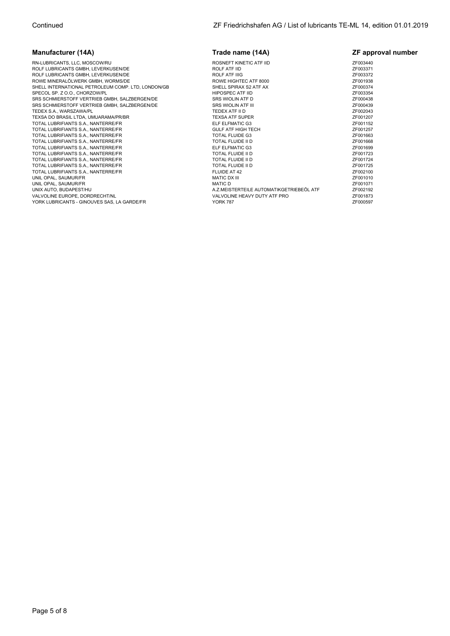| <b>Manufacturer (14A)</b>                          | Trade name (14A)                         | ZF approval number |
|----------------------------------------------------|------------------------------------------|--------------------|
| RN-LUBRICANTS, LLC, MOSCOW/RU                      | ROSNEFT KINETIC ATF IID                  | ZF003440           |
| ROLF LUBRICANTS GMBH, LEVERKUSEN/DE                | <b>ROLF ATF IID</b>                      | ZF003371           |
| ROLF LUBRICANTS GMBH, LEVERKUSEN/DE                | <b>ROLF ATF IIIG</b>                     | ZF003372           |
| ROWE MINERALÖLWERK GMBH, WORMS/DE                  | ROWE HIGHTEC ATF 8000                    | ZF001938           |
| SHELL INTERNATIONAL PETROLEUM COMP. LTD. LONDON/GB | SHELL SPIRAX S2 ATF AX                   | ZF000374           |
| SPECOL SP. Z O.O., CHORZOW/PL                      | <b>HIPOSPEC ATF IID</b>                  | ZF003354           |
| SRS SCHMIERSTOFF VERTRIEB GMBH, SALZBERGEN/DE      | SRS WIOLIN ATF D                         | ZF000438           |
| SRS SCHMIERSTOFF VERTRIEB GMBH, SALZBERGEN/DE      | <b>SRS WIOLIN ATF III</b>                | ZF000439           |
| TEDEX S.A., WARSZAWA/PL                            | TEDEX ATF II D                           | ZF002043           |
| TEXSA DO BRASIL LTDA, UMUARAMA/PR/BR               | <b>TEXSA ATF SUPER</b>                   | ZF001207           |
| TOTAL LUBRIFIANTS S.A., NANTERRE/FR                | ELF ELFMATIC G3                          | ZF001152           |
| TOTAL LUBRIFIANTS S.A., NANTERRE/FR                | <b>GULF ATF HIGH TECH</b>                | ZF001257           |
| TOTAL LUBRIFIANTS S.A., NANTERRE/FR                | <b>TOTAL FLUIDE G3</b>                   | ZF001663           |
| TOTAL LUBRIFIANTS S.A., NANTERRE/FR                | TOTAL FLUIDE II D                        | ZF001668           |
| TOTAL LUBRIFIANTS S.A., NANTERRE/FR                | ELF ELFMATIC G3                          | ZF001699           |
| TOTAL LUBRIFIANTS S.A., NANTERRE/FR                | TOTAL FLUIDE II D                        | ZF001723           |
| TOTAL LUBRIFIANTS S.A., NANTERRE/FR                | TOTAL FLUIDE II D                        | ZF001724           |
| TOTAL LUBRIFIANTS S.A., NANTERRE/FR                | TOTAL FLUIDE II D                        | ZF001725           |
| TOTAL LUBRIFIANTS S.A., NANTERRE/FR                | FLUIDE AT 42                             | ZF002100           |
| UNIL OPAL, SAUMUR/FR                               | <b>MATIC DX III</b>                      | ZF001010           |
| UNIL OPAL, SAUMUR/FR                               | <b>MATIC D</b>                           | ZF001071           |
| UNIX AUTO, BUDAPEST/HU                             | A.Z.MEISTERTEILE AUTOMATIKGETRIEBEÖL ATF | ZF002192           |
| VALVOLINE EUROPE, DORDRECHT/NL                     | VALVOLINE HEAVY DUTY ATF PRO             | ZF001873           |
| YORK LUBRICANTS - GINOUVES SAS, LA GARDE/FR        | <b>YORK 787</b>                          | ZF000597           |
|                                                    |                                          |                    |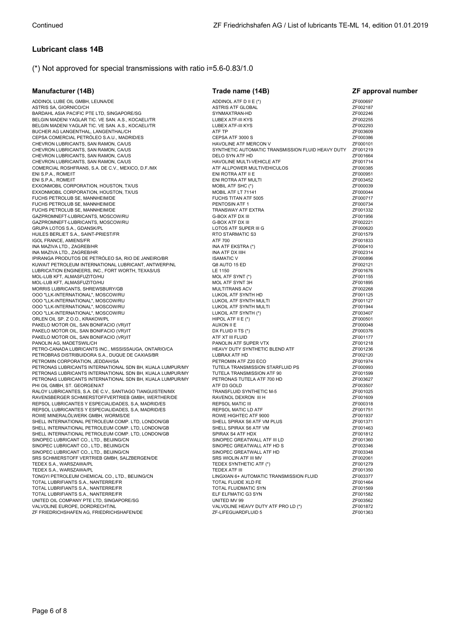# **Lubricant class 14B**

# (\*) Not approved for special transmissions with ratio i=5.6-0.83/1.0

| Manufacturer (14B)                                                                           | Trade name (14B)                                               | <b>ZF approval number</b> |
|----------------------------------------------------------------------------------------------|----------------------------------------------------------------|---------------------------|
| ADDINOL LUBE OIL GMBH, LEUNA/DE                                                              | ADDINOL ATF D II E (*)                                         | ZF000697                  |
| ASTRIS SA, GIORNICO/CH                                                                       | <b>ASTRIS ATF GLOBAL</b>                                       | ZF002187                  |
| BARDAHL ASIA PACIFIC PTE LTD, SINGAPORE/SG                                                   | SYNMAXTRAN-HD                                                  | ZF002246                  |
| BELGIN MADENI YAGLAR TIC. VE SAN. A.S., KOCAELI/TR                                           | LUBEX ATF-III KYS                                              | ZF002255                  |
| BELGIN MADENI YAGLAR TIC. VE SAN. A.S., KOCAELI/TR                                           | LUBEX ATF-III KYS                                              | ZF002293                  |
| BUCHER AG LANGENTHAL, LANGENTHAL/CH                                                          | ATF TP                                                         | ZF003609                  |
| CEPSA COMERCIAL PETRÓLEO S.A.U., MADRID/ES                                                   | CEPSA ATF 3000 S                                               | ZF000386                  |
| CHEVRON LUBRICANTS, SAN RAMON, CA/US                                                         | <b>HAVOLINE ATF MERCON V</b>                                   | ZF000101                  |
| CHEVRON LUBRICANTS, SAN RAMON, CA/US                                                         | SYNTHETIC AUTOMATIC TRANSMISSION FLUID HEAVY DUTY              | ZF001219                  |
| CHEVRON LUBRICANTS, SAN RAMON, CA/US                                                         | DELO SYN ATF HD                                                | ZF001664                  |
| CHEVRON LUBRICANTS, SAN RAMON, CA/US                                                         | HAVOLINE MULTI-VEHICLE ATF                                     | ZF001714                  |
| COMERCIAL ROSHFRANS, S.A. DE C.V., MEXICO, D.F./MX                                           | ATF ALLPOWER MULTIVEHICULOS                                    | ZF000385                  |
| ENI S.P.A., ROME/IT                                                                          | ENI ROTRA ATF II E                                             | ZF000951                  |
| ENI S.P.A., ROME/IT                                                                          | ENI ROTRA ATF MULTI                                            | ZF003452                  |
| EXXONMOBIL CORPORATION, HOUSTON, TX/US                                                       | MOBIL ATF SHC (*)                                              | ZF000039<br>ZF000044      |
| EXXONMOBIL CORPORATION, HOUSTON, TX/US                                                       | MOBIL ATF LT 71141                                             |                           |
| FUCHS PETROLUB SE, MANNHEIM/DE<br>FUCHS PETROLUB SE, MANNHEIM/DE                             | FUCHS TITAN ATF 5005<br>PENTOSIN ATF 1                         | ZF000717<br>ZF000734      |
| FUCHS PETROLUB SE, MANNHEIM/DE                                                               | TRANSWAY ATF EXTRA                                             | ZF001332                  |
| GAZPROMNEFT-LUBRICANTS, MOSCOW/RU                                                            | G-BOX ATF DX III                                               | ZF001956                  |
| GAZPROMNEFT-LUBRICANTS, MOSCOW/RU                                                            | G-BOX ATF DX III                                               | ZF002221                  |
| GRUPA LOTOS S.A., GDANSK/PL                                                                  | LOTOS ATF SUPER III G                                          | ZF000620                  |
| HUILES BERLIET S.A., SAINT-PRIEST/FR                                                         | RTO STARMATIC S3                                               | ZF001579                  |
| <b>IGOL FRANCE, AMIENS/FR</b>                                                                | ATF 700                                                        | ZF001833                  |
| INA MAZIVA LTD., ZAGREB/HR                                                                   | INA ATF EKSTRA (*)                                             | ZF000410                  |
| INA MAZIVA LTD., ZAGREB/HR                                                                   | INA ATF DX IIIH                                                | ZF002314                  |
| IPIRANGA PRODUTOS DE PETRÓLEO SA, RIO DE JANEIRO/BR                                          | <b>ISAMATIC V</b>                                              | ZF000896                  |
| KUWAIT PETROLEUM INTERNATIONAL LUBRICANT, ANTWERP/NL                                         | Q8 AUTO 15 ED                                                  | ZF002121                  |
| LUBRICATION ENGINEERS, INC., FORT WORTH, TEXAS/US                                            | LE 1150                                                        | ZF001676                  |
| MOL-LUB KFT, ALMASFUZITO/HU                                                                  | MOL ATF SYNT (*)                                               | ZF001155                  |
| MOL-LUB KFT, ALMASFUZITO/HU                                                                  | MOL ATF SYNT 3H                                                | ZF001895                  |
| MORRIS LUBRICANTS, SHREWSBURY/GB                                                             | <b>MULTITRANS ACV</b>                                          | ZF002268                  |
| 000 "LLK-INTERNATIONAL", MOSCOW/RU                                                           | LUKOIL ATF SYNTH HD                                            | ZF001125                  |
| 000 "LLK-INTERNATIONAL", MOSCOW/RU                                                           | LUKOIL ATF SYNTH MULTI                                         | ZF001127                  |
| 000 "LLK-INTERNATIONAL", MOSCOW/RU                                                           | LUKOIL ATF SYNTH MULTI                                         | ZF001944                  |
| 000 "LLK-INTERNATIONAL", MOSCOW/RU                                                           | LUKOIL ATF SYNTH (*)                                           | ZF003407                  |
| ORLEN OIL SP. Z O.O., KRAKOW/PL                                                              | HIPOL ATF II E $(*)$                                           | ZF000501                  |
| PAKELO MOTOR OIL, SAN BONIFACIO (VR)/IT                                                      | AUXON II E                                                     | ZF000048                  |
| PAKELO MOTOR OIL, SAN BONIFACIO (VR)/IT                                                      | DX FLUID II TS (*)                                             | ZF000376                  |
| PAKELO MOTOR OIL, SAN BONIFACIO (VR)/IT                                                      | ATF XT III FLUID                                               | ZF001177                  |
| PANOLIN AG, MADETSWIL/CH                                                                     | PANOLIN ATF SUPER VTX                                          | ZF001218                  |
| PETRO-CANADA LUBRICANTS INC., MISSISSAUGA, ONTARIO/CA                                        | HEAVY DUTY SYNTHETIC BLEND ATF                                 | ZF001236                  |
| PETROBRAS DISTRIBUIDORA S.A., DUQUE DE CAXIAS/BR                                             | LUBRAX ATF HD                                                  | ZF002120                  |
| PETROMIN CORPORATION, JEDDAH/SA<br>PETRONAS LUBRICANTS INTERNATIONAL SDN BH, KUALA LUMPUR/MY | PETROMIN ATF Z20 ECO                                           | ZF001974<br>ZF000993      |
| PETRONAS LUBRICANTS INTERNATIONAL SDN BH, KUALA LUMPUR/MY                                    | TUTELA TRANSMISSION STARFLUID PS<br>TUTELA TRANSMISSION ATF 90 | ZF001599                  |
| PETRONAS LUBRICANTS INTERNATIONAL SDN BH, KUALA LUMPUR/MY                                    | PETRONAS TUTELA ATF 700 HD                                     | ZF003627                  |
| PHI OIL GMBH, ST. GEORGEN/AT                                                                 | ATF D3 GOLD                                                    | ZF003507                  |
| RALOY LUBRICANTES, S.A. DE C.V., SANTIAGO TIANGUISTEN/MX                                     | TRANSFLUID SYNTHETIC M-5                                       | ZF001025                  |
| RAVENSBERGER SCHMIERSTOFFVERTRIEB GMBH, WERTHER/DE                                           | RAVENOL DEXRON III H                                           | ZF001609                  |
| REPSOL LUBRICANTES Y ESPECIALIDADES, S.A, MADRID/ES                                          | <b>REPSOL MATIC III</b>                                        | ZF000318                  |
| REPSOL LUBRICANTES Y ESPECIALIDADES, S.A, MADRID/ES                                          | <b>REPSOL MATIC LD ATF</b>                                     | ZF001751                  |
| ROWE MINERALÖLWERK GMBH, WORMS/DE                                                            | ROWE HIGHTEC ATF 9000                                          | ZF001937                  |
| SHELL INTERNATIONAL PETROLEUM COMP. LTD, LONDON/GB                                           | SHELL SPIRAX S6 ATF VM PLUS                                    | ZF001371                  |
| SHELL INTERNATIONAL PETROLEUM COMP. LTD, LONDON/GB                                           | SHELL SPIRAX S6 ATF VM                                         | ZF001463                  |
| SHELL INTERNATIONAL PETROLEUM COMP. LTD, LONDON/GB                                           | SPIRAX S4 ATF HDX                                              | ZF001812                  |
| SINOPEC LUBRICANT CO., LTD., BEIJING/CN                                                      | SINOPEC GREATWALL ATF III LD                                   | ZF001360                  |
| SINOPEC LUBRICANT CO., LTD., BEIJING/CN                                                      | SINOPEC GREATWALL ATF HD S                                     | ZF003346                  |
| SINOPEC LUBRICANT CO., LTD., BEIJING/CN                                                      | SINOPEC GREATWALL ATF HD                                       | ZF003348                  |
| SRS SCHMIERSTOFF VERTRIEB GMBH, SALZBERGEN/DE                                                | SRS WIOLIN ATF III MV                                          | ZF002061                  |
| TEDEX S.A., WARSZAWA/PL                                                                      | TEDEX SYNTHETIC ATF (*)                                        | ZF001279                  |
| TEDEX S.A., WARSZAWA/PL                                                                      | TEDEX ATF III                                                  | ZF001350                  |
| TONGYI PETROLEUM CHEMICAL CO., LTD., BEIJING/CN                                              | LINGXIAN 6+ AUTOMATIC TRANSMISSION FLUID                       | ZF003377                  |
| TOTAL LUBRIFIANTS S.A., NANTERRE/FR                                                          | TOTAL FLUIDE XLD FE                                            | ZF001464                  |
| TOTAL LUBRIFIANTS S.A., NANTERRE/FR                                                          | TOTAL FLUIDMATIC SYN                                           | ZF001569                  |
| TOTAL LUBRIFIANTS S.A., NANTERRE/FR                                                          | ELF ELFMATIC G3 SYN                                            | ZF001582                  |
| UNITED OIL COMPANY PTE LTD, SINGAPORE/SG                                                     | UNITED MV 99                                                   | ZF003562                  |
| VALVOLINE EUROPE, DORDRECHT/NL                                                               | VALVOLINE HEAVY DUTY ATF PRO LD (*)                            | ZF001872                  |
| ZF FRIEDRICHSHAFEN AG, FRIEDRICHSHAFEN/DE                                                    | ZF-LIFEGUARDFLUID 5                                            | ZF001363                  |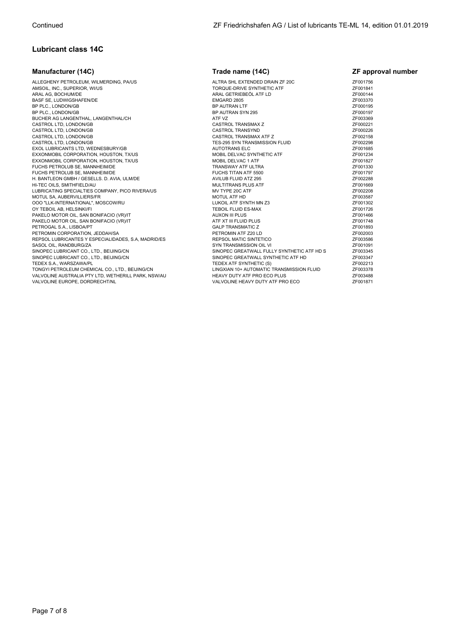# **Lubricant class 14C**

| <b>Manufacturer (14C)</b>                           | Trade name (14C)                           | <b>ZF</b> approval number |
|-----------------------------------------------------|--------------------------------------------|---------------------------|
| ALLEGHENY PETROLEUM, WILMERDING, PA/US              | ALTRA SHL EXTENDED DRAIN ZF 20C            | ZF001756                  |
| AMSOIL, INC., SUPERIOR, WI/US                       | TORQUE-DRIVE SYNTHETIC ATF                 | ZF001841                  |
| ARAL AG, BOCHUM/DE                                  | ARAL GETRIEBEÖL ATF LD                     | ZF000144                  |
| BASF SE, LUDWIGSHAFEN/DE                            | EMGARD 2805                                | ZF003370                  |
| BP PLC., LONDON/GB                                  | BP AUTRAN LTF                              | ZF000195                  |
| BP PLC., LONDON/GB                                  | BP AUTRAN SYN 295                          | ZF000197                  |
| BUCHER AG LANGENTHAL, LANGENTHAL/CH                 | ATF VZ                                     | ZF003369                  |
| CASTROL LTD, LONDON/GB                              | CASTROL TRANSMAX Z                         | ZF000221                  |
| CASTROL LTD, LONDON/GB                              | <b>CASTROL TRANSYND</b>                    | ZF000226                  |
| CASTROL LTD, LONDON/GB                              | CASTROL TRANSMAX ATF Z                     | ZF002158                  |
| CASTROL LTD, LONDON/GB                              | TES-295 SYN TRANSMISSION FLUID             | ZF002298                  |
| EXOL LUBRICANTS LTD, WEDNESBURY/GB                  | <b>AUTOTRANS ELC</b>                       | ZF001685                  |
| EXXONMOBIL CORPORATION, HOUSTON, TX/US              | MOBIL DELVAC SYNTHETIC ATF                 | ZF001234                  |
| EXXONMOBIL CORPORATION, HOUSTON, TX/US              | MOBIL DELVAC 1 ATF                         | ZF001827                  |
| FUCHS PETROLUB SE, MANNHEIM/DE                      | TRANSWAY ATF ULTRA                         | ZF001330                  |
| FUCHS PETROLUB SE, MANNHEIM/DE                      | FUCHS TITAN ATF 5500                       | ZF001797                  |
| H. BANTLEON GMBH / GESELLS. D. AVIA. ULM/DE         | AVILUB FLUID ATZ 295                       | ZF002288                  |
| HI-TEC OILS, SMITHFIELD/AU                          | MULTITRANS PLUS ATF                        | ZF001669                  |
| LUBRICATING SPECIALTIES COMPANY, PICO RIVERA/US     | MV TYPE 20C ATF                            | ZF002208                  |
| MOTUL SA, AUBERVILLIERS/FR                          | MOTUL ATF HD                               | ZF003587                  |
| OOO "LLK-INTERNATIONAL", MOSCOW/RU                  | LUKOIL ATF SYNTH MN Z3                     | ZF001302                  |
| OY TEBOIL AB, HELSINKI/FI                           | TEBOIL FLUID ES-MAX                        | ZF001726                  |
| PAKELO MOTOR OIL, SAN BONIFACIO (VR)/IT             | <b>AUXON III PLUS</b>                      | ZF001466                  |
| PAKELO MOTOR OIL, SAN BONIFACIO (VR)/IT             | ATF XT III FLUID PLUS                      | ZF001748                  |
| PETROGAL S.A., LISBOA/PT                            | <b>GALP TRANSMATIC Z</b>                   | ZF001893                  |
| PETROMIN CORPORATION, JEDDAH/SA                     | PETROMIN ATF Z20 LD                        | ZF002003                  |
| REPSOL LUBRICANTES Y ESPECIALIDADES, S.A, MADRID/ES | REPSOL MATIC SINTETICO                     | ZF003586                  |
| SASOL OIL, RANDBURG/ZA                              | SYN TRANSMISSION OIL VI                    | ZF001091                  |
| SINOPEC LUBRICANT CO., LTD., BEIJING/CN             | SINOPEC GREATWALL FULLY SYNTHETIC ATF HD S | ZF003345                  |
| SINOPEC LUBRICANT CO., LTD., BEIJING/CN             | SINOPEC GREATWALL SYNTHETIC ATF HD         | ZF003347                  |
| TEDEX S.A., WARSZAWA/PL                             | TEDEX ATF SYNTHETIC (S)                    | ZF002213                  |
| TONGYI PETROLEUM CHEMICAL CO., LTD., BEIJING/CN     | LINGXIAN 10+ AUTOMATIC TRANSMISSION FLUID  | ZF003378                  |
| VALVOLINE AUSTRALIA PTY LTD, WETHERILL PARK, NSW/AU | HEAVY DUTY ATF PRO ECO PLUS                | ZF003488                  |
| VALVOLINE EUROPE, DORDRECHT/NL                      | VALVOLINE HEAVY DUTY ATF PRO ECO           | ZF001871                  |
|                                                     |                                            |                           |